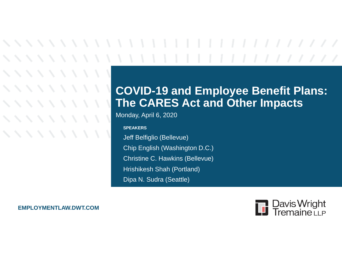#### **COVID-19 and Employee Benefit Plans: The CARES Act and Other Impacts**

Monday, April 6, 2020

**SPEAKERS**

Jeff Belfiglio (Bellevue) Chip English (Washington D.C.) Christine C. Hawkins (Bellevue) Hrishikesh Shah (Portland) Dipa N. Sudra (Seattle)

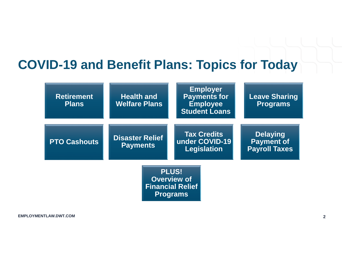#### **COVID-19 and Benefit Plans: Topics for Today**

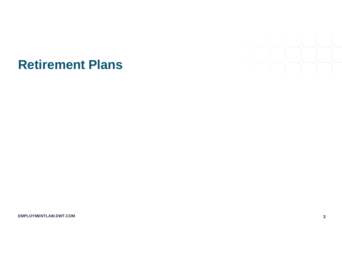

#### **Retirement Plans**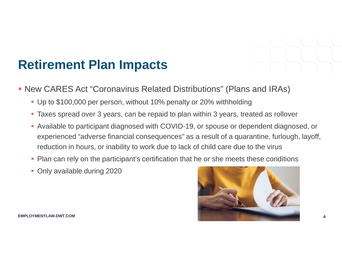

- New CARES Act "Coronavirus Related Distributions" (Plans and IRAs)
	- Up to \$100,000 per person, without 10% penalty or 20% withholding
	- Taxes spread over 3 years, can be repaid to plan within 3 years, treated as rollover
	- Available to participant diagnosed with COVID-19, or spouse or dependent diagnosed, or experienced "adverse financial consequences" as a result of a quarantine, furlough, layoff, reduction in hours, or inability to work due to lack of child care due to the virus
	- Plan can rely on the participant's certification that he or she meets these conditions
	- Only available during 2020

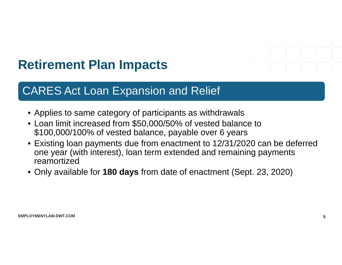

#### CARES Act Loan Expansion and Relief

- Applies to same category of participants as withdrawals
- Loan limit increased from \$50,000/50% of vested balance to \$100,000/100% of vested balance, payable over 6 years
- Existing loan payments due from enactment to 12/31/2020 can be deferred one year (with interest), loan term extended and remaining payments reamortized
- Only available for **180 days** from date of enactment (Sept. 23, 2020)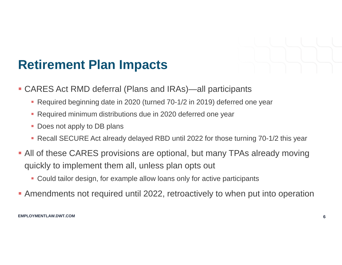

- CARES Act RMD deferral (Plans and IRAs)—all participants
	- Required beginning date in 2020 (turned 70-1/2 in 2019) deferred one year
	- Required minimum distributions due in 2020 deferred one year
	- Does not apply to DB plans
	- Recall SECURE Act already delayed RBD until 2022 for those turning 70-1/2 this year
- All of these CARES provisions are optional, but many TPAs already moving quickly to implement them all, unless plan opts out
	- Could tailor design, for example allow loans only for active participants
- Amendments not required until 2022, retroactively to when put into operation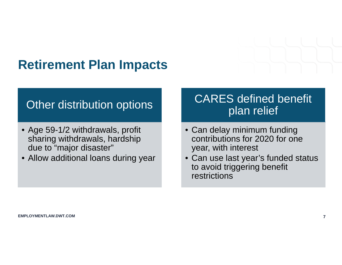#### Other distribution options

- Age 59-1/2 withdrawals, profit sharing withdrawals, hardship due to "major disaster"
- Allow additional loans during year

#### CARES defined benefit plan relief

- Can delay minimum funding contributions for 2020 for one year, with interest
- Can use last year's funded status to avoid triggering benefit restrictions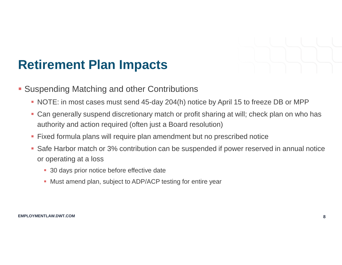

- **Suspending Matching and other Contributions** 
	- NOTE: in most cases must send 45-day 204(h) notice by April 15 to freeze DB or MPP
	- Can generally suspend discretionary match or profit sharing at will; check plan on who has authority and action required (often just a Board resolution)
	- Fixed formula plans will require plan amendment but no prescribed notice
	- Safe Harbor match or 3% contribution can be suspended if power reserved in annual notice or operating at a loss
		- 30 days prior notice before effective date
		- **Must amend plan, subject to ADP/ACP testing for entire year**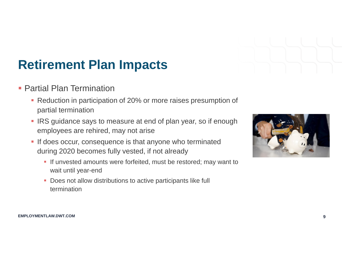

- **Partial Plan Termination** 
	- **Reduction in participation of 20% or more raises presumption of** partial termination
	- **IRS** guidance says to measure at end of plan year, so if enough employees are rehired, may not arise
	- **If does occur, consequence is that anyone who terminated** during 2020 becomes fully vested, if not already
		- **If unvested amounts were forfeited, must be restored; may want to** wait until year-end
		- **-** Does not allow distributions to active participants like full termination

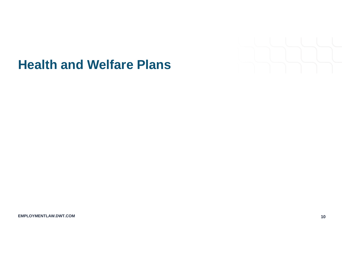

#### **Health and Welfare Plans**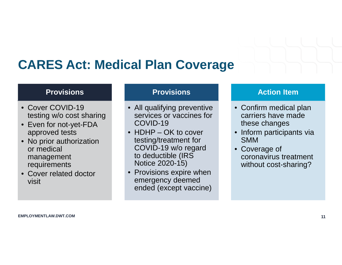#### **CARES Act: Medical Plan Coverage**

#### **Provisions**

- Cover COVID-19 testing w/o cost sharing
- Even for not-yet-FDA approved tests
- No prior authorization or medical management requirements
- Cover related doctor visit

#### **Provisions**

- All qualifying preventive services or vaccines for COVID-19
- HDHP OK to cover testing/treatment for COVID-19 w/o regard to deductible (IRS Notice 2020-15)
- Provisions expire when emergency deemed ended (except vaccine)

#### **Action Item**

- Confirm medical plan carriers have made these changes
- Inform participants via SMM
- Coverage of coronavirus treatment without cost-sharing?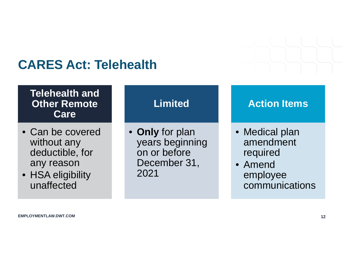#### **CARES Act: Telehealth**

#### **Telehealth and Other Remote Care**

- Can be covered without any deductible, for any reason
- HSA eligibility unaffected

#### **Limited**

• **Only** for plan years beginning on or before December 31, 2021

#### **Action Items**

- Medical plan amendment required
- Amend employee communications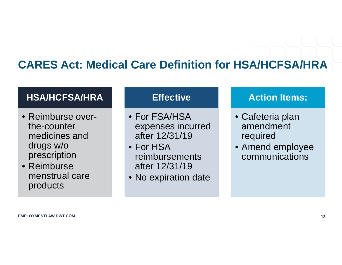#### **CARES Act: Medical Care Definition for HSA/HCFSA/HRA**

#### **HSA/HCFSA/HRA**

- Reimburse overthe-counter medicines and drugs w/o prescription
- Reimburse menstrual care products

#### **Effective**

- For FSA/HSA expenses incurred after 12/31/19
- For HSA reimbursements after 12/31/19
- No expiration date

#### **Action Items:**

- Cafeteria plan amendment required
- Amend employee communications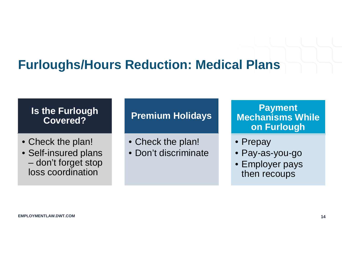#### **Furloughs/Hours Reduction: Medical Plans**

#### **Is the Furlough Covered?**

- Check the plan!
- Self-insured plans – don't forget stop loss coordination

#### **Premium Holidays**

- Check the plan!
- Don't discriminate

#### **Payment Mechanisms While on Furlough**

- Prepay
- Pay-as-you-go
- Employer pays then recoups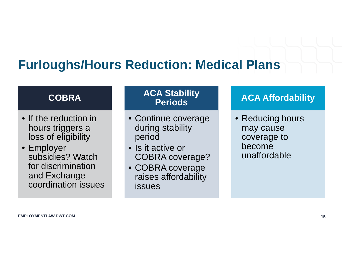### **Furloughs/Hours Reduction: Medical Plans**

#### **COBRA**

- If the reduction in hours triggers a loss of eligibility
- Employer subsidies? Watch for discrimination and Exchange coordination issues

#### **ACA Stability Periods**

- Continue coverage during stability period
- Is it active or COBRA coverage?
- COBRA coverage raises affordability issues

#### **ACA Affordability**

• Reducing hours may cause coverage to become unaffordable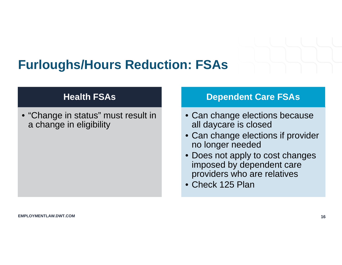

#### **Furloughs/Hours Reduction: FSAs**

#### **Health FSAs**

• "Change in status" must result in a change in eligibility

#### **Dependent Care FSAs**

- Can change elections because all daycare is closed
- Can change elections if provider no longer needed
- Does not apply to cost changes imposed by dependent care providers who are relatives
- Check 125 Plan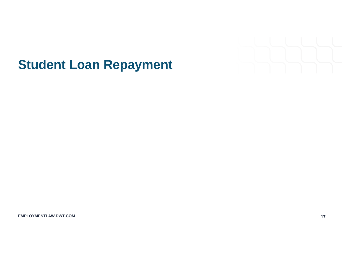

### **Student Loan Repayment**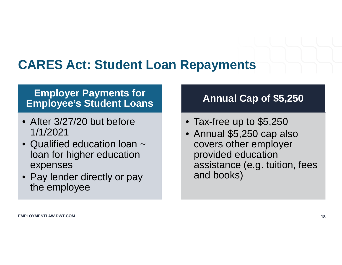### **CARES Act: Student Loan Repayments**

#### **Employer Payments for Employee's Student Loans**

- After 3/27/20 but before 1/1/2021
- Qualified education loan  $\sim$ loan for higher education expenses
- Pay lender directly or pay the employee

#### **Annual Cap of \$5,250**

- Tax-free up to \$5,250
- Annual \$5,250 cap also covers other employer provided education assistance (e.g. tuition, fees and books)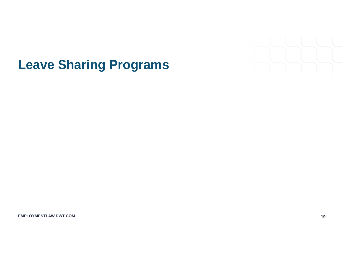

### **Leave Sharing Programs**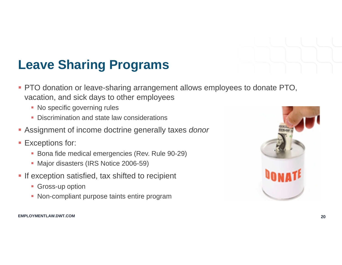

# **Leave Sharing Programs**

- **PTO donation or leave-sharing arrangement allows employees to donate PTO,** vacation, and sick days to other employees
	- No specific governing rules
	- Discrimination and state law considerations
- Assignment of income doctrine generally taxes *donor*
- **Exceptions for:** 
	- **Bona fide medical emergencies (Rev. Rule 90-29)**
	- Major disasters (IRS Notice 2006-59)
- **If exception satisfied, tax shifted to recipient** 
	- **Gross-up option**
	- Non-compliant purpose taints entire program

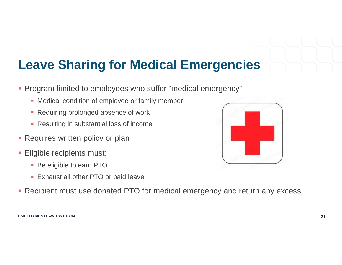## **Leave Sharing for Medical Emergencies**

- **Program limited to employees who suffer "medical emergency"** 
	- Medical condition of employee or family member
	- **Requiring prolonged absence of work**
	- **Resulting in substantial loss of income**
- **Requires written policy or plan**
- **Eligible recipients must:** 
	- **Be eligible to earn PTO**
	- **Exhaust all other PTO or paid leave**
- **Recipient must use donated PTO for medical emergency and return any excess**

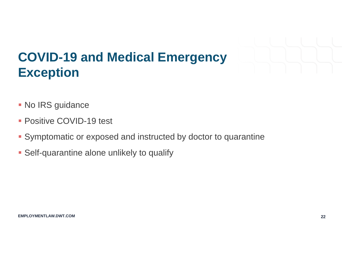

# **COVID-19 and Medical Emergency Exception**

- **No IRS guidance**
- **Positive COVID-19 test**
- **Symptomatic or exposed and instructed by doctor to quarantine**
- **Self-quarantine alone unlikely to qualify**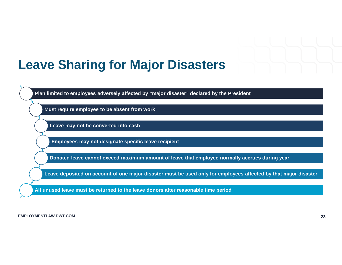

#### **Leave Sharing for Major Disasters**

**Plan limited to employees adversely affected by "major disaster" declared by the President** 

**Must require employee to be absent from work** 

**Leave may not be converted into cash** 

**Employees may not designate specific leave recipient**

**Donated leave cannot exceed maximum amount of leave that employee normally accrues during year**

**Leave deposited on account of one major disaster must be used only for employees affected by that major disaster**

**All unused leave must be returned to the leave donors after reasonable time period**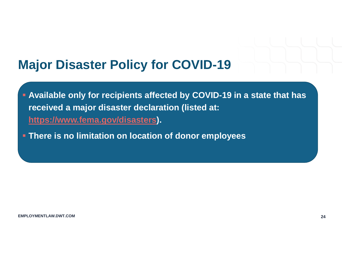#### **Major Disaster Policy for COVID-19**

- **Available only for recipients affected by COVID-19 in a state that has received a major disaster declaration (listed at: https://www.fema.gov/disasters).**
- **There is no limitation on location of donor employees**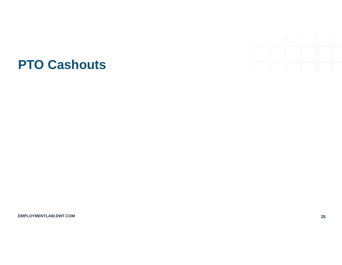

#### **PTO Cashouts**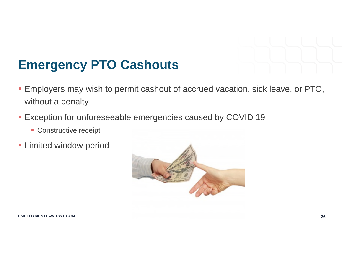

### **Emergency PTO Cashouts**

- Employers may wish to permit cashout of accrued vacation, sick leave, or PTO, without a penalty
- **Exception for unforeseeable emergencies caused by COVID 19** 
	- **Constructive receipt**
- **Limited window period**

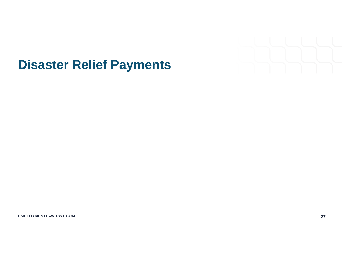

### **Disaster Relief Payments**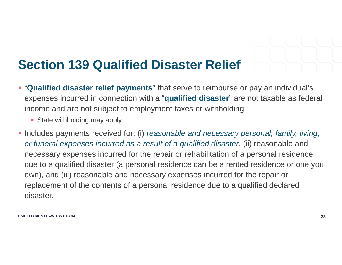## **Section 139 Qualified Disaster Relief**

- "**Qualified disaster relief payments**" that serve to reimburse or pay an individual's expenses incurred in connection with a "**qualified disaster**" are not taxable as federal income and are not subject to employment taxes or withholding
	- State withholding may apply
- **Includes payments received for: (i)** *reasonable and necessary personal, family, living, or funeral expenses incurred as a result of a qualified disaster*, (ii) reasonable and necessary expenses incurred for the repair or rehabilitation of a personal residence due to a qualified disaster (a personal residence can be a rented residence or one you own), and (iii) reasonable and necessary expenses incurred for the repair or replacement of the contents of a personal residence due to a qualified declared disaster.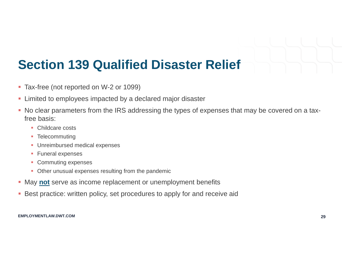# **Section 139 Qualified Disaster Relief**

- **Tax-free (not reported on W-2 or 1099)**
- **EXECT:** Limited to employees impacted by a declared major disaster
- No clear parameters from the IRS addressing the types of expenses that may be covered on a taxfree basis:
	- Childcare costs
	- **Telecommuting**
	- **Unreimbursed medical expenses**
	- **Funeral expenses**
	- Commuting expenses
	- Other unusual expenses resulting from the pandemic
- **May not** serve as income replacement or unemployment benefits
- **Best practice: written policy, set procedures to apply for and receive aid**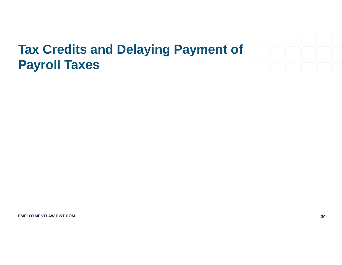# **Tax Credits and Delaying Payment of Payroll Taxes**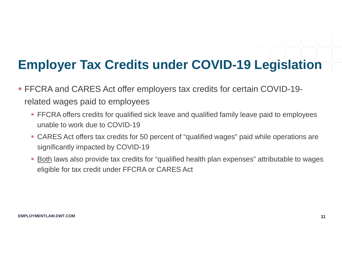## **Employer Tax Credits under COVID-19 Legislation**

- FFCRA and CARES Act offer employers tax credits for certain COVID-19 related wages paid to employees
	- FFCRA offers credits for qualified sick leave and qualified family leave paid to employees unable to work due to COVID-19
	- CARES Act offers tax credits for 50 percent of "qualified wages" paid while operations are significantly impacted by COVID-19
	- Both laws also provide tax credits for "qualified health plan expenses" attributable to wages eligible for tax credit under FFCRA or CARES Act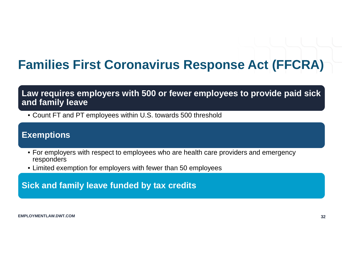# **Families First Coronavirus Response Act (FFCRA)**

#### **Law requires employers with 500 or fewer employees to provide paid sick and family leave**

• Count FT and PT employees within U.S. towards 500 threshold

#### **Exemptions**

- For employers with respect to employees who are health care providers and emergency responders
- Limited exemption for employers with fewer than 50 employees

**Sick and family leave funded by tax credits**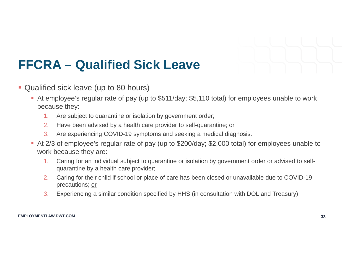

# **FFCRA – Qualified Sick Leave**

- Qualified sick leave (up to 80 hours)
	- At employee's regular rate of pay (up to \$511/day; \$5,110 total) for employees unable to work because they:
		- 1. Are subject to quarantine or isolation by government order;
		- 2. Have been advised by a health care provider to self-quarantine; or
		- 3. Are experiencing COVID-19 symptoms and seeking a medical diagnosis.
	- At 2/3 of employee's regular rate of pay (up to \$200/day; \$2,000 total) for employees unable to work because they are:
		- 1. Caring for an individual subject to quarantine or isolation by government order or advised to selfquarantine by a health care provider;
		- 2. Caring for their child if school or place of care has been closed or unavailable due to COVID-19 precautions; or
		- 3. Experiencing a similar condition specified by HHS (in consultation with DOL and Treasury).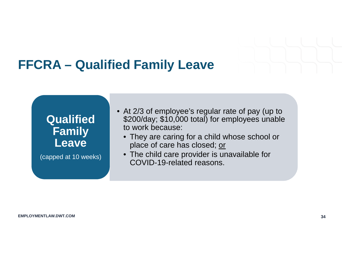

#### **FFCRA – Qualified Family Leave**



(capped at 10 weeks)

- At 2/3 of employee's regular rate of pay (up to \$200/day; \$10,000 total) for employees unable to work because:
	- They are caring for a child whose school or place of care has closed; or
	- The child care provider is unavailable for COVID-19-related reasons.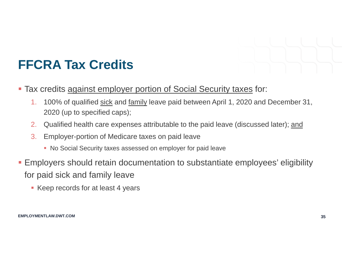

# **FFCRA Tax Credits**

- **Tax credits against employer portion of Social Security taxes for:** 
	- 1. 100% of qualified sick and family leave paid between April 1, 2020 and December 31, 2020 (up to specified caps);
	- 2. Qualified health care expenses attributable to the paid leave (discussed later); and
	- 3. Employer-portion of Medicare taxes on paid leave
		- No Social Security taxes assessed on employer for paid leave
- Employers should retain documentation to substantiate employees' eligibility for paid sick and family leave
	- **Keep records for at least 4 years**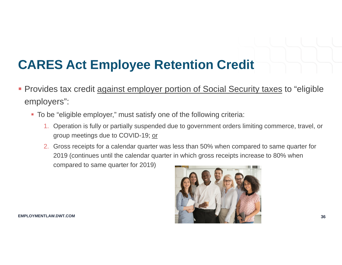# **CARES Act Employee Retention Credit**

- **Provides tax credit against employer portion of Social Security taxes to "eligible** employers":
	- To be "eligible employer," must satisfy one of the following criteria:
		- 1. Operation is fully or partially suspended due to government orders limiting commerce, travel, or group meetings due to COVID-19; or
		- 2. Gross receipts for a calendar quarter was less than 50% when compared to same quarter for 2019 (continues until the calendar quarter in which gross receipts increase to 80% when compared to same quarter for 2019)

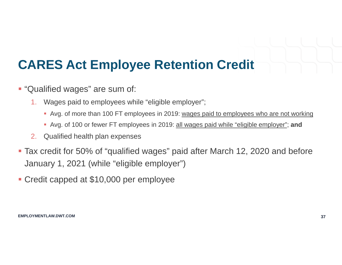# **CARES Act Employee Retention Credit**

- **.** "Qualified wages" are sum of:
	- 1. Wages paid to employees while "eligible employer";
		- Avg. of more than 100 FT employees in 2019: wages paid to employees who are not working
		- Avg. of 100 or fewer FT employees in 2019: all wages paid while "eligible employer"; **and**
	- 2. Qualified health plan expenses
- Tax credit for 50% of "qualified wages" paid after March 12, 2020 and before January 1, 2021 (while "eligible employer")
- Credit capped at \$10,000 per employee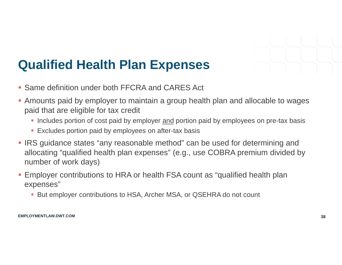

### **Qualified Health Plan Expenses**

- **Same definition under both FFCRA and CARES Act**
- Amounts paid by employer to maintain a group health plan and allocable to wages paid that are eligible for tax credit
	- Includes portion of cost paid by employer and portion paid by employees on pre-tax basis
	- **Excludes portion paid by employees on after-tax basis**
- **IRS** guidance states "any reasonable method" can be used for determining and allocating "qualified health plan expenses" (e.g., use COBRA premium divided by number of work days)
- Employer contributions to HRA or health FSA count as "qualified health plan expenses"
	- But employer contributions to HSA, Archer MSA, or QSEHRA do not count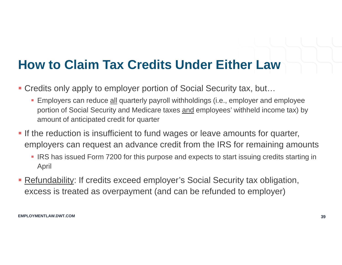# **How to Claim Tax Credits Under Either Law**

- Credits only apply to employer portion of Social Security tax, but...
	- Employers can reduce all quarterly payroll withholdings (i.e., employer and employee portion of Social Security and Medicare taxes and employees' withheld income tax) by amount of anticipated credit for quarter
- **If the reduction is insufficient to fund wages or leave amounts for quarter,** employers can request an advance credit from the IRS for remaining amounts
	- **IRS has issued Form 7200 for this purpose and expects to start issuing credits starting in** April
- **Refundability: If credits exceed employer's Social Security tax obligation,** excess is treated as overpayment (and can be refunded to employer)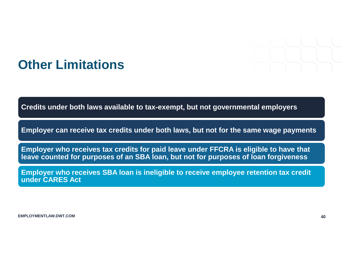

#### **Other Limitations**

**Credits under both laws available to tax-exempt, but not governmental employers**

**Employer can receive tax credits under both laws, but not for the same wage payments**

**Employer who receives tax credits for paid leave under FFCRA is eligible to have that leave counted for purposes of an SBA loan, but not for purposes of loan forgiveness**

**Employer who receives SBA loan is ineligible to receive employee retention tax credit under CARES Act**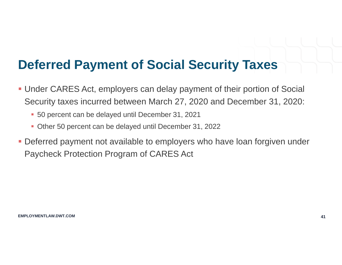### **Deferred Payment of Social Security Taxes**

- Under CARES Act, employers can delay payment of their portion of Social Security taxes incurred between March 27, 2020 and December 31, 2020:
	- 50 percent can be delayed until December 31, 2021
	- Other 50 percent can be delayed until December 31, 2022
- Deferred payment not available to employers who have loan forgiven under Paycheck Protection Program of CARES Act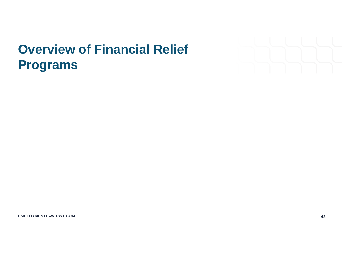# **Overview of Financial Relief Programs**

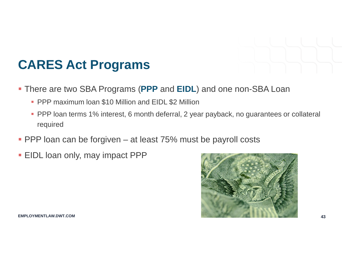

### **CARES Act Programs**

- There are two SBA Programs (**PPP** and **EIDL**) and one non-SBA Loan
	- **PPP maximum loan \$10 Million and EIDL \$2 Million**
	- **PPP** loan terms 1% interest, 6 month deferral, 2 year payback, no guarantees or collateral required
- **PPP loan can be forgiven at least 75% must be payroll costs**
- **EIDL loan only, may impact PPP**

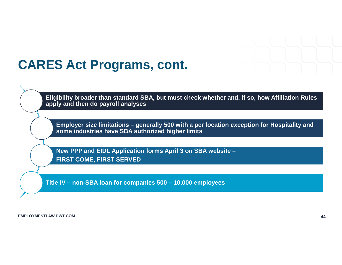

#### **CARES Act Programs, cont.**

**Eligibility broader than standard SBA, but must check whether and, if so, how Affiliation Rules apply and then do payroll analyses**

**Employer size limitations – generally 500 with a per location exception for Hospitality and some industries have SBA authorized higher limits**

**New PPP and EIDL Application forms April 3 on SBA website – FIRST COME, FIRST SERVED**

**Title IV – non-SBA loan for companies 500 – 10,000 employees**